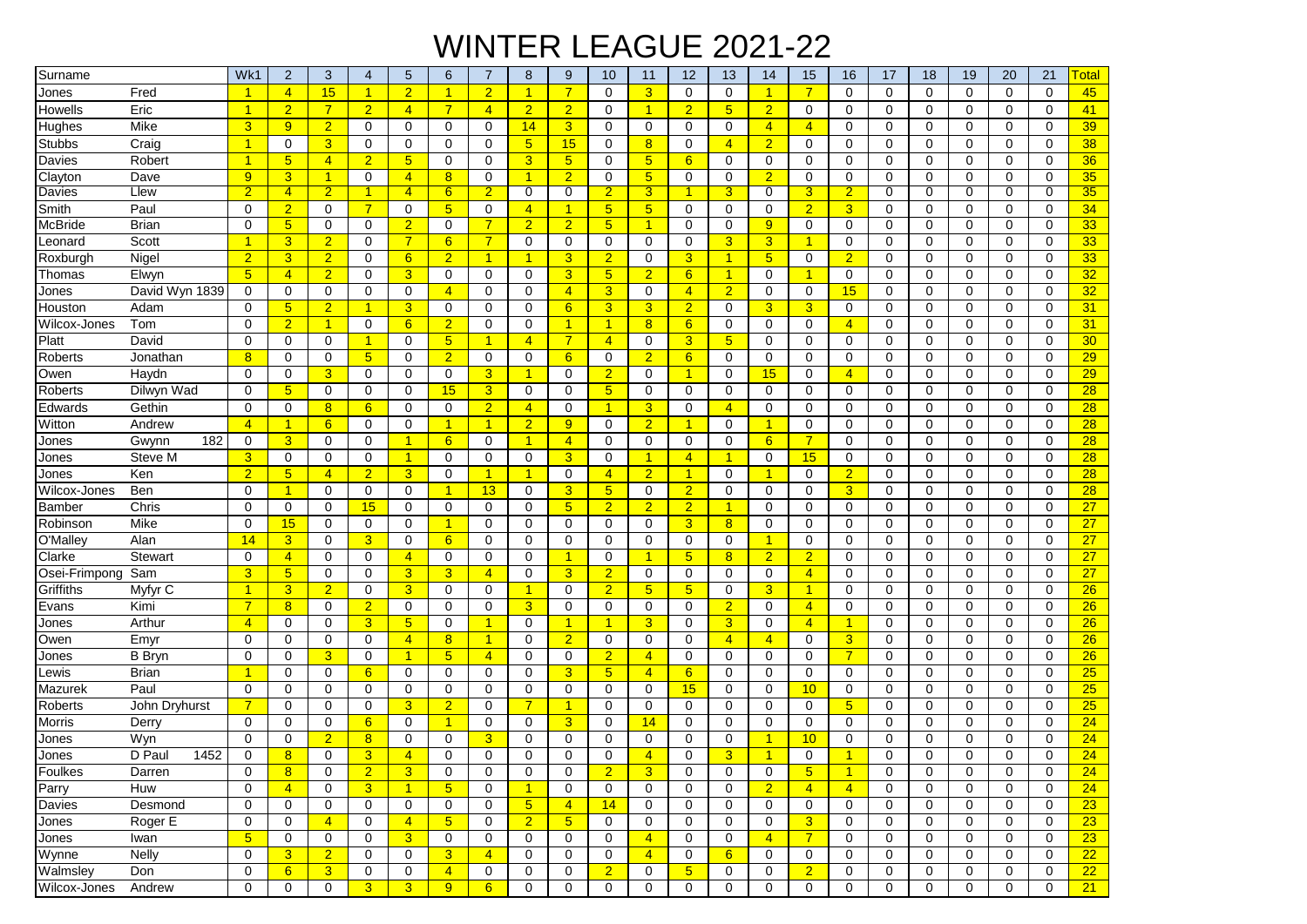## WINTER LEAGUE 2021-22

| Surname        |                | Wk1                  | $\overline{2}$       | 3              | 4                    | 5               | 6               | $\overline{7}$ | 8                    | 9              | 10                   | 11              | 12              | 13              | 14                   | 15             | 16                   | 17             | 18          | 19          | 20          | 21          | Total           |
|----------------|----------------|----------------------|----------------------|----------------|----------------------|-----------------|-----------------|----------------|----------------------|----------------|----------------------|-----------------|-----------------|-----------------|----------------------|----------------|----------------------|----------------|-------------|-------------|-------------|-------------|-----------------|
| Jones          | Fred           | -1                   | $\overline{4}$       | 15             | $\blacktriangleleft$ | $\overline{2}$  | $\mathbf{1}$    | $\overline{2}$ | $\blacktriangleleft$ | $\overline{7}$ | 0                    | $\overline{3}$  | 0               | 0               | $\mathbf{1}$         | $\overline{7}$ | 0                    | 0              | 0           | 0           | $\Omega$    | 0           | 45              |
| Howells        | Eric           | $\overline{1}$       | $\overline{2}$       | $\overline{7}$ | $\overline{2}$       | $\overline{4}$  | $\overline{7}$  | $\overline{4}$ | $\overline{2}$       | $\overline{2}$ | 0                    | 1               | $\overline{2}$  | $5\overline{)}$ | $\overline{2}$       | 0              | $\mathbf 0$          | $\mathbf 0$    | $\mathbf 0$ | 0           | 0           | $\mathbf 0$ | 41              |
| Hughes         | Mike           | 3                    | 9                    | $\overline{2}$ | 0                    | 0               | 0               | 0              | 14                   | $\overline{3}$ | 0                    | 0               | 0               | 0               | $\overline{4}$       | $\overline{4}$ | $\mathbf 0$          | $\Omega$       | 0           | 0           | $\Omega$    | $\Omega$    | 39              |
| <b>Stubbs</b>  | Craig          | -1                   | $\mathbf 0$          | 3              | $\mathbf 0$          | 0               | 0               | $\mathbf 0$    | $5\overline{)}$      | 15             | 0                    | 8               | 0               | $\overline{4}$  | $\overline{2}$       | 0              | $\mathbf 0$          | $\mathbf 0$    | $\mathbf 0$ | 0           | $\Omega$    | $\mathbf 0$ | 38              |
| Davies         | Robert         | $\blacktriangleleft$ | 5                    | $\overline{4}$ | $\overline{2}$       | $5\phantom{.0}$ | 0               | $\mathbf 0$    | 3 <sup>5</sup>       | 5 <sub>5</sub> | 0                    | 5 <sub>5</sub>  | 6               | $\mathbf 0$     | $\mathbf 0$          | 0              | $\mathbf 0$          | 0              | 0           | 0           | 0           | $\mathbf 0$ | 36              |
| Clayton        | Dave           | 9 <sup>°</sup>       | 3                    | $\overline{1}$ | $\mathbf 0$          | $\overline{4}$  | $\overline{8}$  | $\Omega$       | $\overline{1}$       | $\overline{2}$ | 0                    | 5 <sub>5</sub>  | 0               | 0               | $\overline{2}$       | $\Omega$       | $\mathbf 0$          | $\mathbf 0$    | $\mathbf 0$ | 0           | 0           | $\mathbf 0$ | 35              |
| Davies         | Llew           | $\overline{2}$       | $\overline{4}$       | $\overline{2}$ | 1                    | $\overline{4}$  | 6               | 2              | 0                    | 0              | $\overline{2}$       | 3               | 1               | 3               | 0                    | 3              | $\overline{2}$       | 0              | 0           | 0           | 0           | 0           | 35              |
| Smith          | Paul           | $\Omega$             | $\overline{2}$       | $\mathbf 0$    | $\overline{7}$       | 0               | 5               | 0              | $\overline{4}$       | $\mathbf{1}$   | 5 <sub>5</sub>       | $5\phantom{.0}$ | 0               | 0               | $\mathbf 0$          | $\overline{2}$ | 3                    | 0              | 0           | 0           | $\Omega$    | $\mathbf 0$ | 34              |
| <b>McBride</b> | <b>Brian</b>   | $\Omega$             | $5\phantom{.0}$      | 0              | $\mathbf 0$          | $\overline{2}$  | 0               | 7              | $\overline{2}$       | $\overline{2}$ | 5 <sub>5</sub>       | 1               | 0               | $\mathbf 0$     | 9                    | 0              | $\mathbf 0$          | $\Omega$       | $\mathbf 0$ | 0           | $\Omega$    | $\Omega$    | 33              |
| _eonard        | Scott          | 1                    | 3                    | $\overline{2}$ | $\mathbf 0$          | $\overline{7}$  | $6\phantom{1}$  | 7              | 0                    | $\mathbf 0$    | $\mathbf 0$          | 0               | $\mathbf 0$     | 3               | 3                    | 1              | $\mathbf 0$          | 0              | $\mathbf 0$ | $\Omega$    | $\Omega$    | $\mathbf 0$ | 33              |
| Roxburgh       | Nigel          | $\overline{2}$       | 3                    | $\overline{2}$ | $\mathbf 0$          | 6               | $\overline{2}$  | $\overline{1}$ | $\blacktriangleleft$ | $\overline{3}$ | $\overline{2}$       | $\mathbf 0$     | 3               | $\overline{1}$  | $5\phantom{.0}$      | 0              | $\overline{2}$       | $\mathbf 0$    | $\mathbf 0$ | 0           | 0           | $\mathbf 0$ | 33              |
| Thomas         | Elwyn          | 5 <sup>5</sup>       | $\overline{4}$       | $\overline{2}$ | $\mathbf 0$          | 3               | 0               | $\mathbf 0$    | 0                    | 3              | 5 <sup>5</sup>       | $\overline{2}$  | 6               | $\mathbf{1}$    | $\mathbf 0$          | 1              | 0                    | $\mathbf 0$    | 0           | 0           | 0           | $\mathbf 0$ | 32              |
| Jones          | David Wyn 1839 | $\mathbf 0$          | 0                    | $\mathbf 0$    | 0                    | 0               | 4               | 0              | 0                    | $\overline{4}$ | $\overline{3}$       | 0               | $\overline{4}$  | $\overline{2}$  | $\mathbf 0$          | 0              | 15                   | 0              | $\mathbf 0$ | 0           | $\Omega$    | $\Omega$    | 32              |
| Houston        | Adam           | $\Omega$             | $5\phantom{1}$       | $\overline{2}$ | $\overline{1}$       | 3               | 0               | $\mathbf 0$    | $\mathbf 0$          | 6              | $\overline{3}$       | 3               | $\overline{2}$  | $\mathbf 0$     | 3                    | 3              | $\mathbf 0$          | $\mathbf 0$    | $\mathbf 0$ | 0           | $\mathbf 0$ | $\mathbf 0$ | 31              |
| Wilcox-Jones   | Tom            | $\Omega$             | $\overline{2}$       | 1              | $\mathbf 0$          | 6               | $\overline{2}$  | $\mathbf 0$    | $\mathbf 0$          | $\mathbf{1}$   | 1                    | 8               | 6               | $\Omega$        | $\Omega$             | 0              | $\overline{4}$       | $\Omega$       | $\mathbf 0$ | $\Omega$    | $\Omega$    | $\Omega$    | 31              |
| Platt          | David          | $\mathbf 0$          | $\mathbf 0$          | $\mathbf 0$    | $\overline{1}$       | 0               | 5               | -1             | $\overline{4}$       | $\overline{7}$ | $\overline{4}$       | $\mathbf 0$     | 3               | 5               | $\mathbf 0$          | 0              | 0                    | 0              | $\mathbf 0$ | 0           | 0           | $\mathbf 0$ | 30              |
| Roberts        | Jonathan       | 8                    | $\mathbf 0$          | $\mathbf 0$    | $5\phantom{.0}$      | 0               | $\overline{2}$  | 0              | 0                    | 6              | 0                    | $\overline{2}$  | 6               | 0               | 0                    | 0              | 0                    | 0              | 0           | 0           | 0           | 0           | 29              |
| Owen           | Haydn          | $\mathbf 0$          | $\mathbf 0$          | 3              | $\Omega$             | 0               | $\mathbf 0$     | 3              | $\blacktriangleleft$ | $\mathbf 0$    | $\overline{2}$       | $\mathbf 0$     | $\overline{1}$  | 0               | 15                   | 0              | $\overline{4}$       | $\Omega$       | $\mathbf 0$ | 0           | $\Omega$    | $\mathbf 0$ | 29              |
| Roberts        | Dilwyn Wad     | $\mathbf 0$          | 5                    | $\mathbf 0$    | $\mathbf 0$          | 0               | 15              | 3              | $\mathbf 0$          | $\mathbf 0$    | $5\overline{)}$      | $\mathbf 0$     | $\mathbf 0$     | $\mathbf 0$     | $\mathbf 0$          | 0              | 0                    | $\mathbf 0$    | $\mathbf 0$ | 0           | $\mathbf 0$ | $\mathbf 0$ | 28              |
| Edwards        | Gethin         | $\mathbf 0$          | $\mathbf 0$          | 8              | 6                    | 0               | $\mathbf 0$     | $\overline{2}$ | $\overline{4}$       | $\mathbf 0$    | $\overline{1}$       | 3               | 0               | $\overline{4}$  | $\mathbf 0$          | 0              | $\mathbf 0$          | $\mathbf 0$    | $\mathbf 0$ | 0           | $\mathbf 0$ | $\mathbf 0$ | 28              |
| Witton         | Andrew         | $\overline{4}$       | $\blacktriangleleft$ | 6              | $\mathbf 0$          | 0               | $\mathbf{1}$    | $\overline{1}$ | $\overline{2}$       | 9              | 0                    | $\overline{2}$  | $\overline{1}$  | $\mathbf 0$     | $\mathbf{1}$         | 0              | $\mathbf 0$          | $\mathbf 0$    | $\mathbf 0$ | 0           | 0           | $\mathbf 0$ | 28              |
| Jones          | Gwynn<br>182   | $\mathbf 0$          | 3                    | $\mathbf 0$    | 0                    | $\mathbf{1}$    | 6               | $\mathbf 0$    | $\blacktriangleleft$ | $\overline{4}$ | 0                    | $\mathbf 0$     | $\mathbf 0$     | $\mathbf 0$     | 6                    | $\overline{7}$ | 0                    | 0              | 0           | 0           | 0           | $\mathbf 0$ | 28              |
| Jones          | Steve M        | 3                    | $\mathbf 0$          | $\mathbf 0$    | $\mathbf 0$          | $\overline{1}$  | 0               | 0              | 0                    | $\overline{3}$ | $\mathbf 0$          | $\mathbf{1}$    | $\overline{4}$  | $\mathbf{1}$    | 0                    | 15             | $\mathbf 0$          | 0              | $\mathbf 0$ | 0           | 0           | $\mathbf 0$ | 28              |
| Jones          | Ken            | $\overline{2}$       | $5\phantom{.0}$      | $\overline{4}$ | $\overline{2}$       | 3               | 0               | $\mathbf{1}$   | $\blacktriangleleft$ | $\mathbf 0$    | $\overline{4}$       | $\overline{2}$  | $\overline{1}$  | 0               | $\mathbf{1}$         | 0              | $\overline{2}$       | 0              | $\mathbf 0$ | 0           | $\Omega$    | $\mathbf 0$ | 28              |
| Wilcox-Jones   | Ben            | $\Omega$             | $\overline{1}$       | $\mathbf 0$    | $\mathbf 0$          | 0               | $\overline{1}$  | 13             | $\mathbf 0$          | 3              | 5 <sub>5</sub>       | 0               | $\overline{2}$  | $\mathbf 0$     | $\mathbf 0$          | 0              | 3                    | $\mathbf 0$    | 0           | 0           | 0           | $\mathbf 0$ | 28              |
| <b>Bamber</b>  | Chris          | $\Omega$             | 0                    | $\mathbf 0$    | 15                   | 0               | 0               | 0              | 0                    | 5 <sub>5</sub> | $\overline{2}$       | $\overline{2}$  | $\overline{2}$  | $\mathbf{1}$    | 0                    | 0              | 0                    | 0              | 0           | 0           | $\Omega$    | $\mathbf 0$ | 27              |
| Robinson       | Mike           | $\mathbf 0$          | 15                   | 0              | $\mathbf 0$          | 0               | $\mathbf{1}$    | $\mathbf 0$    | $\mathbf 0$          | $\mathbf 0$    | 0                    | $\mathbf 0$     | 3               | 8               | $\mathbf 0$          | 0              | $\mathbf 0$          | 0              | 0           | 0           | 0           | $\mathbf 0$ | 27              |
| O'Malley       | Alan           | 14                   | 3                    | $\mathbf 0$    | 3                    | 0               | 6               | $\mathbf 0$    | $\mathbf 0$          | $\mathbf 0$    | $\mathbf 0$          | $\mathbf 0$     | $\mathbf 0$     | $\mathbf 0$     | $\mathbf{1}$         | 0              | $\mathbf 0$          | $\mathbf 0$    | $\mathbf 0$ | 0           | $\mathbf 0$ | $\mathbf 0$ | 27              |
| Clarke         | Stewart        | $\mathbf 0$          | $\overline{4}$       | $\mathbf 0$    | $\mathbf 0$          | $\overline{4}$  | 0               | $\mathbf 0$    | $\mathbf 0$          | $\mathbf{1}$   | 0                    | 1               | 5               | 8               | $\overline{2}$       | $\overline{2}$ | $\mathbf 0$          | 0              | $\mathbf 0$ | 0           | $\mathbf 0$ | $\mathbf 0$ | 27              |
| Osei-Frimpong  | Sam            | 3                    | 5                    | $\mathbf 0$    | $\mathbf 0$          | 3               | 3               | $\overline{4}$ | $\mathbf 0$          | $\overline{3}$ | $\overline{2}$       | 0               | 0               | 0               | $\mathbf 0$          | $\overline{4}$ | $\mathbf 0$          | $\mathbf 0$    | $\mathbf 0$ | 0           | 0           | $\mathbf 0$ | 27              |
| Griffiths      | Myfyr C        | 1                    | 3                    | $\overline{2}$ | 0                    | 3               | 0               | $\Omega$       | $\blacktriangleleft$ | $\Omega$       | $\overline{2}$       | 5               | 5               | 0               | 3                    | -1             | $\Omega$             | 0              | 0           | 0           | $\Omega$    | $\Omega$    | 26              |
| Evans          | Kimi           | $\overline{7}$       | 8                    | $\mathbf 0$    | $\overline{2}$       | 0               | 0               | $\Omega$       | 3                    | $\mathbf 0$    | $\mathbf 0$          | $\mathbf 0$     | 0               | $\overline{2}$  | $\mathbf 0$          | $\overline{4}$ | $\mathbf 0$          | 0              | $\mathbf 0$ | 0           | $\Omega$    | $\mathbf 0$ | 26              |
| Jones          | Arthur         | $\overline{4}$       | $\mathbf 0$          | $\mathbf 0$    | $\overline{3}$       | 5 <sub>5</sub>  | 0               | $\overline{1}$ | $\mathbf 0$          | $\mathbf{1}$   | $\blacktriangleleft$ | 3               | $\Omega$        | 3               | $\mathbf 0$          | $\overline{4}$ | $\blacktriangleleft$ | $\Omega$       | 0           | 0           | $\Omega$    | $\mathbf 0$ | 26              |
| Owen           | Emyr           | $\mathbf 0$          | $\Omega$             | 0              | $\mathbf 0$          | $\overline{4}$  | 8               | $\overline{1}$ | 0                    | $\overline{2}$ | 0                    | 0               | 0               | $\overline{4}$  | $\overline{4}$       | 0              | 3                    | 0              | 0           | 0           | $\Omega$    | $\mathbf 0$ | 26              |
| Jones          | <b>B</b> Bryn  | $\Omega$             | $\mathbf 0$          | 3              | 0                    | $\overline{1}$  | 5               | $\overline{4}$ | $\mathbf 0$          | $\mathbf 0$    | $\overline{2}$       | $\overline{4}$  | 0               | 0               | $\mathbf 0$          | 0              | $\overline{7}$       | $\mathbf 0$    | 0           | 0           | 0           | $\mathbf 0$ | 26              |
| _ewis          | <b>Brian</b>   | -1                   | $\mathbf 0$          | $\mathbf 0$    | 6                    | 0               | 0               | $\mathbf 0$    | $\mathbf 0$          | 3              | 5 <sup>5</sup>       | $\overline{4}$  | $6\overline{6}$ | 0               | $\mathbf 0$          | 0              | $\mathbf 0$          | 0              | 0           | 0           | 0           | $\mathbf 0$ | 25              |
| Mazurek        | Paul           | $\mathbf 0$          | $\mathbf 0$          | $\mathbf 0$    | $\mathbf 0$          | 0               | 0               | $\mathbf 0$    | $\mathbf 0$          | $\mathbf 0$    | $\mathbf 0$          | $\mathbf 0$     | 15              | 0               | $\mathbf 0$          | 10             | $\mathbf 0$          | $\mathbf 0$    | $\mathbf 0$ | 0           | $\mathbf 0$ | $\mathbf 0$ | 25              |
| Roberts        | John Dryhurst  | $\overline{7}$       | $\mathbf 0$          | $\mathbf 0$    | $\mathbf 0$          | 3               | $\overline{2}$  | $\mathbf 0$    | $\overline{7}$       | $\mathbf{1}$   | 0                    | $\mathbf 0$     | $\mathbf 0$     | 0               | $\Omega$             | 0              | 5                    | 0              | $\mathbf 0$ | 0           | $\Omega$    | $\Omega$    | 25              |
| <b>Morris</b>  | Derry          | $\Omega$             | $\Omega$             | $\mathbf 0$    | 6                    | 0               | 1               | $\mathbf 0$    | 0                    | $\overline{3}$ | 0                    | 14              | 0               | 0               | $\Omega$             | 0              | $\mathbf 0$          | 0              | 0           | 0           | $\Omega$    | $\Omega$    | 24              |
| Jones          | Wyn            | $\Omega$             | $\Omega$             | $\overline{2}$ | 8                    | 0               | 0               | 3              | 0                    | $\mathbf 0$    | 0                    | 0               | 0               | 0               | 1                    | 10             | $\Omega$             | 0              | $\mathbf 0$ | 0           | 0           | $\Omega$    | 24              |
| Jones          | D Paul<br>1452 | $\Omega$             | 8                    | $\Omega$       | 3                    | $\overline{4}$  | $\Omega$        | $\Omega$       | $\Omega$             | $\Omega$       | $\Omega$             | 4               | 0               | 3               | $\blacktriangleleft$ | $\Omega$       | 1                    | $\overline{0}$ | $\Omega$    | 0           | $\Omega$    | $\Omega$    | 24              |
| Foulkes        | Darren         | 0                    | 8                    | 0              | $\overline{2}$       | 3               | 0               | 0              | 0                    | 0              | $\overline{2}$       | $\overline{3}$  | 0               | 0               | 0                    | 5 <sub>5</sub> | $\overline{1}$       | 0              | 0           | 0           | 0           | 0           | 24              |
| Parry          | Huw            | $\mathbf 0$          | $\overline{4}$       | 0              | 3 <sup>2</sup>       | $\overline{1}$  | $5\overline{)}$ | 0              | $\overline{1}$       | $\mathbf 0$    | 0                    | 0               | 0               | $\mathbf 0$     | 2 <sup>1</sup>       | $\overline{4}$ | $\overline{4}$       | $\mathbf 0$    | $\mathbf 0$ | $\mathbf 0$ | $\mathbf 0$ | $\mathbf 0$ | 24              |
| Davies         | Desmond        | $\mathbf 0$          | 0                    | 0              | 0                    | 0               | 0               | 0              | 5 <sub>5</sub>       | $\overline{4}$ | 14                   | 0               | 0               | 0               | 0                    | 0              | 0                    | 0              | 0           | 0           | 0           | 0           | 23              |
| Jones          | Roger E        | $\mathbf 0$          | $\mathbf 0$          | $\overline{4}$ | $\mathbf 0$          | $\overline{4}$  | $5\overline{)}$ | $\mathbf 0$    | $\overline{2}$       | 5 <sup>5</sup> | 0                    | $\mathbf 0$     | $\mathbf 0$     | $\mathbf 0$     | $\mathbf 0$          | 3              | $\mathbf 0$          | $\mathbf 0$    | $\mathbf 0$ | 0           | 0           | $\mathbf 0$ | 23              |
| Jones          | Iwan           | 5 <sup>5</sup>       | 0                    | 0              | $\mathbf 0$          | 3 <sup>5</sup>  | $\mathbf 0$     | $\mathbf 0$    | 0                    | $\mathbf 0$    | 0                    | $\overline{4}$  | $\mathbf 0$     | $\mathbf 0$     | $\overline{4}$       | $\overline{7}$ | $\mathbf 0$          | $\mathbf 0$    | $\mathbf 0$ | $\mathbf 0$ | 0           | $\mathbf 0$ | 23              |
| Wynne          | Nelly          | $\mathbf 0$          | 3                    | $\overline{2}$ | $\mathbf 0$          | $\mathbf 0$     | 3               | $\overline{4}$ | $\mathbf 0$          | $\mathbf 0$    | $\mathbf 0$          | $\overline{4}$  | $\mathbf 0$     | 6               | $\mathbf 0$          | $\mathbf 0$    | $\mathbf 0$          | 0              | $\mathbf 0$ | $\mathbf 0$ | 0           | $\mathbf 0$ | 22              |
| Walmsley       | Don            | $\mathbf 0$          | 6                    | $\overline{3}$ | $\mathbf 0$          | $\mathbf 0$     | $\overline{4}$  | 0              | 0                    | 0              | 2 <sup>1</sup>       | 0               | $5\phantom{.0}$ | 0               | 0                    | $\overline{2}$ | 0                    | 0              | $\mathbf 0$ | 0           | 0           | 0           | $\overline{22}$ |
| Wilcox-Jones   | Andrew         | $\mathbf 0$          | 0                    | 0              | 3 <sup>2</sup>       | 3 <sup>1</sup>  | 9 <sup>°</sup>  | $6\phantom{1}$ | 0                    | $\mathbf 0$    | 0                    | $\mathbf 0$     | 0               | 0               | 0                    | 0              | $\mathbf 0$          | $\mathbf 0$    | $\mathbf 0$ | 0           | 0           | $\mathbf 0$ | 21              |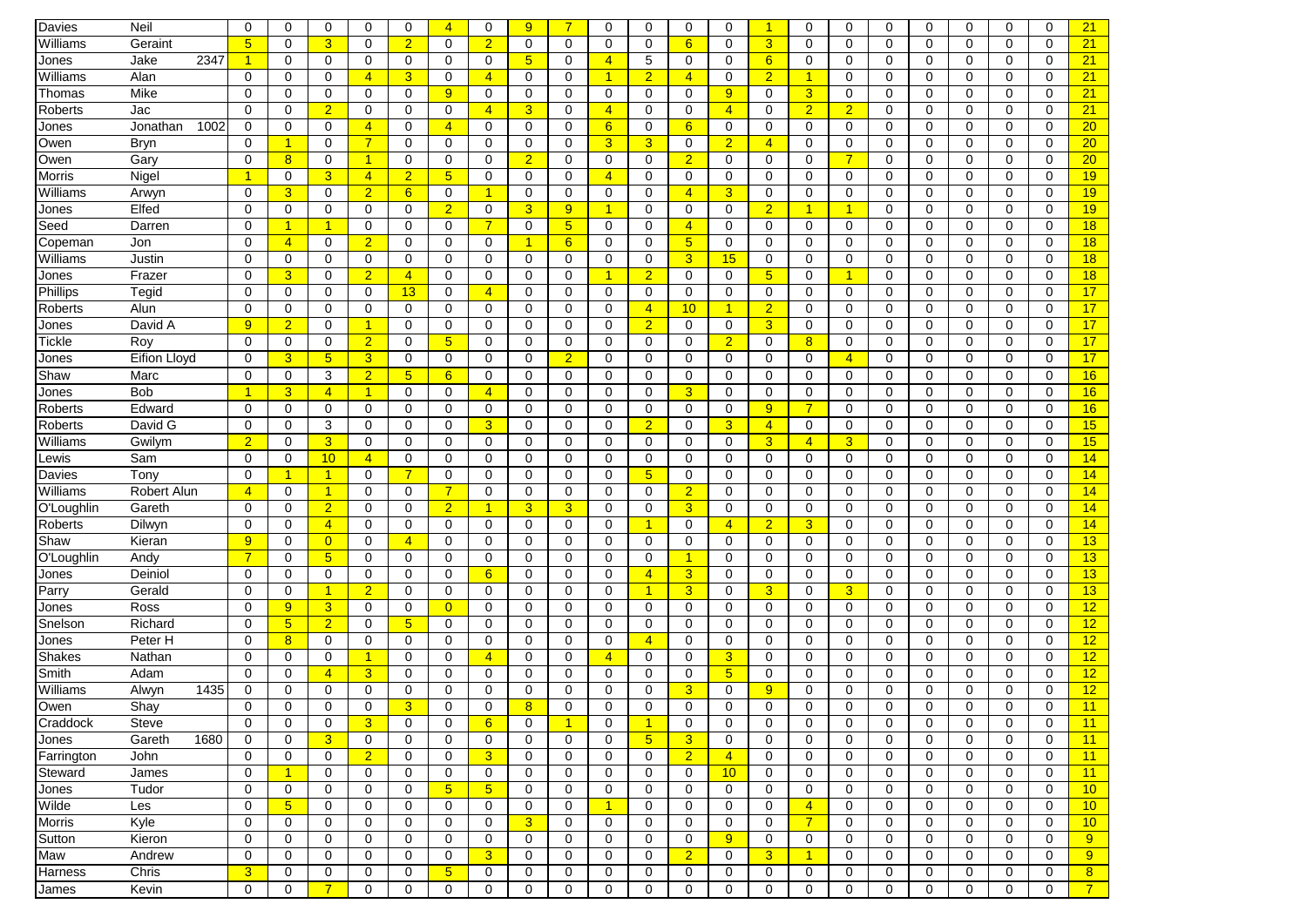| Davies         | Neil                | $\mathbf 0$     | 0               | 0                    | 0              | $\mathbf 0$     | $\overline{4}$ | 0              | 9                    | $\overline{7}$ | 0              | 0                    | 0              | 0              | $\blacktriangleleft$ | 0              | 0              | 0           | $\mathbf 0$  | 0           | $\Omega$    | 0           | 21              |
|----------------|---------------------|-----------------|-----------------|----------------------|----------------|-----------------|----------------|----------------|----------------------|----------------|----------------|----------------------|----------------|----------------|----------------------|----------------|----------------|-------------|--------------|-------------|-------------|-------------|-----------------|
| Williams       | Geraint             | $5\overline{)}$ | 0               | 3                    | $\Omega$       | $\overline{2}$  | $\Omega$       | $\overline{2}$ | $\mathbf 0$          | 0              | 0              | 0                    | 6              | 0              | 3                    | 0              | 0              | 0           | $\Omega$     | $\mathbf 0$ | $\mathbf 0$ | $\mathbf 0$ | 21              |
| Jones          | 2347<br>Jake        | $\mathbf{1}$    | 0               | $\mathbf 0$          | 0              | 0               | 0              | 0              | $5\phantom{.0}$      | $\mathbf 0$    | $\overline{4}$ | 5                    | $\mathbf 0$    | $\mathbf 0$    | 6                    | 0              | $\mathbf 0$    | $\mathbf 0$ | $\Omega$     | $\Omega$    | 0           | $\mathbf 0$ | 21              |
| Williams       | Alan                | $\mathbf 0$     | 0               | $\mathbf 0$          | $\overline{4}$ | $\overline{3}$  | 0              | $\overline{4}$ | 0                    | 0              | $\mathbf{1}$   | $\overline{2}$       | $\overline{4}$ | $\mathbf 0$    | $\overline{2}$       | $\mathbf{1}$   | 0              | 0           | $\mathbf 0$  | 0           | 0           | $\mathbf 0$ | 21              |
| Thomas         | Mike                | $\mathbf 0$     | $\mathbf 0$     | 0                    | 0              | $\mathbf 0$     | 9              | $\mathbf 0$    | 0                    | $\mathbf 0$    | 0              | 0                    | $\mathbf 0$    | 9              | $\mathbf 0$          | 3 <sup>5</sup> | 0              | $\mathbf 0$ | 0            | $\mathbf 0$ | $\mathbf 0$ | $\mathbf 0$ | 21              |
| <b>Roberts</b> | Jac                 | $\mathbf 0$     | $\mathbf 0$     | $\overline{2}$       | 0              | $\mathbf 0$     | 0              | $\overline{4}$ | 3                    | $\mathbf 0$    | $\overline{4}$ | 0                    | $\mathbf 0$    | $\overline{4}$ | 0                    | $\overline{2}$ | $\overline{2}$ | $\mathbf 0$ | $\mathbf 0$  | $\mathbf 0$ | $\mathbf 0$ | $\mathbf 0$ | 21              |
| Jones          | 1002<br>Jonathan    | $\mathbf 0$     | 0               | $\mathbf 0$          | $\overline{4}$ | $\mathbf 0$     | 4              | $\mathbf 0$    | $\mathbf 0$          | $\mathbf 0$    | 6              | 0                    | 6              | $\mathbf 0$    | $\mathbf 0$          | $\mathbf 0$    | $\mathbf 0$    | $\mathbf 0$ | 0            | $\mathbf 0$ | $\mathbf 0$ | $\mathbf 0$ | 20 <sub>2</sub> |
| Owen           | <b>Bryn</b>         | $\mathbf 0$     | 1               | $\Omega$             | $\overline{7}$ | $\mathbf 0$     | 0              | $\mathbf 0$    | $\mathbf 0$          | 0              | 3              | 3 <sup>1</sup>       | 0              | $\overline{2}$ | $\overline{4}$       | 0              | $\mathbf 0$    | $\Omega$    | 0            | $\Omega$    | $\Omega$    | $\mathbf 0$ | 20 <sub>2</sub> |
| Owen           | Gary                | 0               | 8               | 0                    | $\mathbf{1}$   | 0               | 0              | 0              | $\overline{2}$       | 0              | 0              | 0                    | $\overline{2}$ | 0              | 0                    | 0              | $\overline{7}$ | 0           | 0            | 0           | 0           | 0           | 20              |
| Morris         | Nigel               | -1              | $\mathbf 0$     | 3                    | $\overline{4}$ | $\overline{2}$  | 5 <sup>5</sup> | $\mathbf 0$    | $\mathbf 0$          | $\mathbf 0$    | $\overline{4}$ | $\Omega$             | $\mathbf 0$    | 0              | $\mathbf 0$          | $\mathbf 0$    | $\mathbf 0$    | $\Omega$    | $\Omega$     | $\Omega$    | $\Omega$    | $\Omega$    | 19              |
| Williams       | Arwyn               | $\mathbf 0$     | 3               | $\mathbf 0$          | $\overline{2}$ | 6               | $\mathbf 0$    | 1              | $\mathbf 0$          | $\mathbf 0$    | 0              | $\Omega$             | $\overline{4}$ | 3              | 0                    | 0              | 0              | 0           | $\Omega$     | $\Omega$    | $\Omega$    | $\mathbf 0$ | 19              |
| Jones          | Elfed               | $\mathbf 0$     | $\mathbf 0$     | 0                    | $\Omega$       | $\mathbf 0$     | $\overline{2}$ | $\mathbf 0$    | 3                    | 9              | $\mathbf{1}$   | 0                    | $\mathbf 0$    | $\mathbf 0$    | $\overline{2}$       | 1              | 1              | $\mathbf 0$ | $\Omega$     | $\mathbf 0$ | $\mathbf 0$ | $\mathbf 0$ | 19              |
| Seed           | Darren              | $\mathbf 0$     | 1               | $\overline{1}$       | 0              | $\mathbf 0$     | 0              | $\overline{7}$ | $\mathbf 0$          | 5 <sub>5</sub> | 0              | 0                    | $\overline{4}$ | $\mathbf 0$    | 0                    | 0              | 0              | 0           | $\mathbf 0$  | $\mathbf 0$ | 0           | $\mathbf 0$ | 18              |
| Copeman        | Jon                 | 0               | $\overline{4}$  | $\mathbf 0$          | $\overline{2}$ | $\mathbf 0$     | 0              | 0              | $\blacktriangleleft$ | 6              | 0              | $\Omega$             | 5              | $\mathbf 0$    | 0                    | 0              | 0              | 0           | 0            | 0           | 0           | $\Omega$    | 18              |
| Williams       | Justin              | $\mathbf 0$     | $\mathbf 0$     | $\mathbf 0$          | 0              | $\mathbf 0$     | 0              | $\mathbf 0$    | $\mathbf 0$          | $\mathbf 0$    | 0              | 0                    | 3              | 15             | $\mathbf 0$          | $\mathbf 0$    | $\mathbf 0$    | $\mathbf 0$ | $\mathbf 0$  | $\mathbf 0$ | 0           | $\mathbf 0$ | 18              |
| Jones          | Frazer              | $\Omega$        | $\overline{3}$  | $\Omega$             | $\overline{2}$ | $\overline{4}$  | $\Omega$       | $\Omega$       | $\Omega$             | $\Omega$       | $\mathbf{1}$   | $\overline{2}$       | $\mathbf 0$    | $\mathbf 0$    | 5 <sup>5</sup>       | 0              | 1              | $\Omega$    | $\Omega$     | $\Omega$    | $\Omega$    | $\Omega$    | 18              |
| Phillips       | Tegid               | $\mathbf 0$     | 0               | 0                    | 0              | 13              | 0              | $\overline{4}$ | $\mathbf 0$          | $\mathbf 0$    | 0              | 0                    | 0              | $\mathbf 0$    | 0                    | 0              | 0              | $\mathbf 0$ | 0            | $\mathbf 0$ | 0           | $\mathbf 0$ | 17              |
| <b>Roberts</b> | Alun                | 0               | 0               | $\mathbf 0$          | 0              | 0               | 0              | 0              | 0                    | 0              | 0              | 4                    | 10             | $\overline{1}$ | $\overline{2}$       | 0              | 0              | 0           | 0            | 0           | 0           | 0           | 17              |
| Jones          | David A             | 9               | $\overline{2}$  | $\Omega$             | $\mathbf{1}$   | $\mathbf 0$     | 0              | 0              | $\mathbf 0$          | $\Omega$       | 0              | $\overline{2}$       | 0              | 0              | 3                    | 0              | $\mathbf 0$    | $\Omega$    | $\Omega$     | $\Omega$    | 0           | $\mathbf 0$ | 17              |
| Tickle         | Roy                 | $\mathbf 0$     | $\mathbf 0$     | $\mathbf 0$          | $\overline{2}$ | $\mathbf 0$     | 5 <sub>5</sub> | 0              | 0                    | $\mathbf 0$    | 0              | 0                    | $\mathbf 0$    | $\overline{2}$ | 0                    | 8              | 0              | $\mathbf 0$ | $\mathbf 0$  | $\mathbf 0$ | $\mathbf 0$ | $\mathbf 0$ | 17              |
| Jones          | <b>Eifion Lloyd</b> | $\mathbf 0$     | 3               | $5\phantom{1}$       | 3              | $\mathbf 0$     | $\mathbf 0$    | $\mathbf 0$    | $\mathbf 0$          | $\overline{2}$ | 0              | 0                    | $\mathbf 0$    | $\mathbf 0$    | $\mathbf 0$          | 0              | $\overline{4}$ | $\mathbf 0$ | $\mathbf 0$  | $\mathbf 0$ | $\mathbf 0$ | $\mathbf 0$ | 17              |
| Shaw           | Marc                | $\mathbf 0$     | $\mathbf 0$     | 3                    | $\overline{2}$ | $5\phantom{.0}$ | 6              | $\mathbf 0$    | $\mathbf 0$          | $\mathbf 0$    | 0              | 0                    | $\mathbf 0$    | $\mathbf 0$    | 0                    | 0              | 0              | $\mathbf 0$ | $\mathbf 0$  | $\mathbf 0$ | 0           | $\mathbf 0$ | 16              |
| Jones          | Bob                 | -1              | 3               | $\overline{4}$       | $\mathbf{1}$   | $\mathbf 0$     | 0              | $\overline{4}$ | 0                    | 0              | 0              | 0                    | 3              | $\mathbf 0$    | 0                    | 0              | 0              | 0           | 0            | $\mathbf 0$ | $\mathbf 0$ | 0           | 16              |
| Roberts        | Edward              | $\mathbf 0$     | 0               | 0                    | 0              | $\mathbf 0$     | $\mathbf 0$    | 0              | $\mathbf 0$          | $\mathbf 0$    | 0              | 0                    | $\mathbf 0$    | 0              | 9                    | 7 <sup>1</sup> | $\mathbf 0$    | 0           | $\Omega$     | $\mathbf 0$ | 0           | $\mathbf 0$ | 16              |
| <b>Roberts</b> | David G             | $\mathbf 0$     | $\mathbf 0$     | 3                    | $\Omega$       | $\mathbf 0$     | $\mathbf 0$    | 3              | $\mathbf 0$          | 0              | $\mathbf 0$    | $\overline{2}$       | $\mathbf 0$    | $\overline{3}$ | $\overline{4}$       | 0              | $\mathbf 0$    | 0           | $\Omega$     | $\Omega$    | $\mathbf 0$ | $\mathbf 0$ | 15              |
| Williams       | Gwilym              | $\overline{2}$  | $\mathbf 0$     | 3                    | 0              | $\mathbf 0$     | 0              | $\mathbf 0$    | $\mathbf 0$          | 0              | 0              | 0                    | $\Omega$       | $\mathbf 0$    | 3                    | $\overline{4}$ | 3              | $\mathbf 0$ | $\Omega$     | $\mathbf 0$ | 0           | $\mathbf 0$ | 15              |
| ∟ewis          | Sam                 | 0               | 0               | 10                   | $\overline{4}$ | 0               | 0              | 0              | 0                    | 0              | 0              | 0                    | 0              | 0              | 0                    | 0              | 0              | 0           | 0            | 0           | 0           | 0           | 14              |
| Davies         | Tony                | $\mathbf 0$     | 1               | $\blacktriangleleft$ | 0              | $\overline{7}$  | $\mathbf 0$    | $\mathbf 0$    | 0                    | 0              | 0              | 5                    | $\mathbf 0$    | $\mathbf 0$    | 0                    | 0              | $\mathbf 0$    | 0           | 0            | $\mathbf 0$ | $\mathbf 0$ | $\mathbf 0$ | 14              |
| Williams       | Robert Alun         | $\overline{4}$  | $\mathbf 0$     | $\blacktriangleleft$ | 0              | $\mathbf 0$     | $\overline{7}$ | $\mathbf 0$    | 0                    | $\mathbf 0$    | 0              | 0                    | $\overline{2}$ | $\mathbf 0$    | 0                    | $\mathbf 0$    | $\mathbf 0$    | $\mathbf 0$ | $\mathbf 0$  | $\mathbf 0$ | $\mathbf 0$ | $\mathbf 0$ | 14              |
| O'Loughlin     | Gareth              | $\mathbf 0$     | 0               | $\overline{2}$       | $\Omega$       | $\mathbf 0$     | $\overline{2}$ | -1             | 3                    | 3              | 0              | 0                    | 3              | $\mathbf 0$    | $\mathbf 0$          | 0              | 0              | $\mathbf 0$ | $\Omega$     | $\mathbf 0$ | $\mathbf 0$ | $\mathbf 0$ | 14              |
| Roberts        | Dilwyn              | $\mathbf 0$     | 0               | $\overline{4}$       | 0              | $\mathbf 0$     | 0              | $\mathbf 0$    | $\mathbf 0$          | $\mathbf 0$    | 0              | 1                    | $\mathbf 0$    | $\overline{4}$ | $\overline{2}$       | 3              | $\mathbf 0$    | 0           | 0            | $\mathbf 0$ | 0           | $\mathbf 0$ | 14              |
| Shaw           | Kieran              | 9 <sup>°</sup>  | 0               | $\overline{0}$       | $\Omega$       | $\overline{4}$  | 0              | $\Omega$       | 0                    | 0              | 0              | $\Omega$             | 0              | 0              | 0                    | 0              | 0              | $\Omega$    | $\Omega$     | $\Omega$    | $\Omega$    | $\Omega$    | 13              |
| O'Loughlin     | Andy                | $\overline{7}$  | $\mathbf 0$     | $5\overline{)}$      | $\Omega$       | 0               | $\mathbf 0$    | $\mathbf 0$    | $\mathbf 0$          | $\mathbf 0$    | $\mathbf 0$    | 0                    | -1             | 0              | 0                    | $\mathbf 0$    | $\mathbf 0$    | 0           | 0            | $\mathbf 0$ | 0           | $\mathbf 0$ | 13              |
| Jones          | Deiniol             | $\mathbf 0$     | $\Omega$        | $\mathbf 0$          | $\Omega$       | $\mathbf 0$     | $\Omega$       | 6              | 0                    | $\Omega$       | 0              | $\overline{4}$       | $\overline{3}$ | $\Omega$       | 0                    | 0              | $\mathbf 0$    | $\Omega$    | $\Omega$     | $\Omega$    | $\Omega$    | $\mathbf 0$ | 13              |
| Parry          | Gerald              | $\mathbf 0$     | $\mathbf 0$     | $\blacktriangleleft$ | $\overline{2}$ | $\mathbf 0$     | 0              | $\mathbf 0$    | $\mathbf 0$          | $\mathbf 0$    | 0              | $\blacktriangleleft$ | 3              | $\mathbf 0$    | 3                    | 0              | 3              | $\mathbf 0$ | $\Omega$     | $\Omega$    | 0           | $\mathbf 0$ | 13              |
| Jones          | Ross                | $\mathbf 0$     | 9               | 3                    | 0              | 0               | $\overline{0}$ | $\mathbf 0$    | 0                    | $\mathbf 0$    | 0              | 0                    | $\mathbf 0$    | $\mathbf 0$    | 0                    | 0              | $\mathbf 0$    | 0           | $\mathbf 0$  | $\mathbf 0$ | $\mathbf 0$ | $\mathbf 0$ | 12              |
| Snelson        | Richard             | $\mathbf 0$     | $5\phantom{.0}$ | $\overline{2}$       | 0              | $5\phantom{.0}$ | $\mathbf 0$    | 0              | $\mathbf 0$          | $\mathbf 0$    | 0              | 0                    | $\mathbf 0$    | $\mathbf 0$    | 0                    | 0              | $\mathbf 0$    | $\mathbf 0$ | 0            | $\mathbf 0$ | $\mathbf 0$ | $\mathbf 0$ | 12              |
| Jones          | Peter H             | $\mathbf 0$     | 8               | 0                    | 0              | $\mathbf 0$     | 0              | $\mathbf 0$    | $\mathbf 0$          | $\mathbf 0$    | 0              | $\overline{4}$       | $\mathbf 0$    | $\mathbf 0$    | 0                    | 0              | $\mathbf 0$    | $\mathbf 0$ | $\mathbf 0$  | $\mathbf 0$ | 0           | $\mathbf 0$ | 12              |
| <b>Shakes</b>  | Nathan              | $\mathbf 0$     | $\mathbf 0$     | $\mathbf 0$          | $\mathbf{1}$   | $\mathbf 0$     | 0              | $\overline{4}$ | $\mathbf 0$          | 0              | $\overline{4}$ | 0                    | $\mathbf 0$    | 3              | 0                    | 0              | $\mathbf 0$    | $\mathbf 0$ | $\Omega$     | $\mathbf 0$ | 0           | $\mathbf 0$ | 12              |
| Smith          | Adam                | $\mathbf 0$     | 0               | $\overline{4}$       | 3              | $\mathbf 0$     | 0              | 0              | $\mathbf 0$          | 0              | 0              | $\Omega$             | $\Omega$       | 5 <sup>5</sup> | 0                    | 0              | 0              | $\mathbf 0$ | 0            | $\Omega$    | 0           | 0           | 12              |
| Williams       | Alwyn<br>1435       | 0               | 0               | 0                    | 0              | $\mathbf 0$     | 0              | 0              | $\mathbf 0$          | $\mathbf 0$    | 0              | $\Omega$             | 3              | $\mathbf 0$    | 9                    | 0              | 0              | 0           | 0            | $\mathbf 0$ | 0           | $\mathbf 0$ | 12              |
| Owen           | Shay                | $\Omega$        | $\Omega$        | $\Omega$             | $\Omega$       | 3               | 0              | $\Omega$       | 8                    | $\Omega$       | $\Omega$       | $\Omega$             | $\Omega$       | $\Omega$       | $\Omega$             | $\Omega$       | $\Omega$       | $\Omega$    | 0            | $\Omega$    | $\Omega$    | $\Omega$    | 11              |
| Craddock       | Steve               | 0               | 0               | 0                    | 3              | 0               | 0              | 6              | 0                    | $\mathbf{1}$   | 0              | $\mathbf{1}$         | 0              | 0              | 0                    | 0              | 0              | 0           | 0            | 0           | 0           | 0           | 11              |
| Jones          | Gareth<br>1680      | 0               | 0               | 3                    | $\mathbf 0$    | $\mathbf 0$     | 0              | $\mathbf 0$    | 0                    | $\mathbf 0$    | 0              | 5 <sub>5</sub>       | 3              | 0              | $\mathbf 0$          | 0              | 0              | 0           | 0            | $\mathbf 0$ | 0           | 0           | 11              |
| Farrington     | John                | $\mathbf 0$     | 0               | $\mathbf 0$          | 2 <sup>1</sup> | 0               | 0              | 3              | 0                    | $\mathbf 0$    | 0              | 0                    | $\overline{2}$ | $\overline{4}$ | $\mathbf 0$          | 0              | 0              | $\mathbf 0$ | 0            | $\mathbf 0$ | 0           | $\mathbf 0$ | 11              |
| Steward        | James               | 0               | 1               | 0                    | $\mathbf 0$    | $\mathbf 0$     | 0              | 0              | 0                    | $\mathbf 0$    | 0              | 0                    | $\mathbf 0$    | 10             | $\mathbf 0$          | 0              | $\mathbf 0$    | $\mathbf 0$ | 0            | $\mathbf 0$ | 0           | $\mathbf 0$ | 11              |
| Jones          | Tudor               | $\mathbf 0$     | $\mathbf 0$     | $\mathbf 0$          | $\mathbf 0$    | $\mathbf 0$     | 5 <sup>5</sup> | 5 <sup>5</sup> | 0                    | $\mathbf 0$    | $\mathbf 0$    | 0                    | $\mathbf 0$    | $\mathbf 0$    | $\mathbf 0$          | 0              | $\mathbf 0$    | $\mathbf 0$ | $\mathbf 0$  | $\mathbf 0$ | $\mathbf 0$ | $\mathbf 0$ | 10              |
| Wilde          | Les                 | $\mathbf 0$     | 5 <sub>5</sub>  | $\mathbf 0$          | $\Omega$       | $\mathbf 0$     | $\mathbf 0$    | $\mathbf 0$    | 0                    | $\mathbf 0$    | $\mathbf{1}$   | 0                    | $\mathbf 0$    | $\mathbf 0$    | $\mathbf 0$          | $\overline{4}$ | $\mathbf 0$    | $\mathbf 0$ | $\mathbf 0$  | $\mathbf 0$ | $\mathbf 0$ | $\mathbf 0$ | 10              |
| Morris         | Kyle                | $\mathbf 0$     | 0               | 0                    | 0              | 0               | 0              | 0              | 3                    | $\mathbf 0$    | 0              | 0                    | 0              | 0              | 0                    | $\overline{7}$ | 0              | $\mathbf 0$ | 0            | $\mathbf 0$ | 0           | 0           | 10              |
| Sutton         | Kieron              | $\mathbf 0$     | 0               | 0                    | 0              | 0               | 0              | 0              | 0                    | 0              | 0              | 0                    | 0              | 9              | 0                    | 0              | 0              | 0           | 0            | $\mathbf 0$ | 0           | 0           | 9 <sup>°</sup>  |
| Maw            | Andrew              | 0               | 0               | 0                    | 0              | 0               | 0              | 3              | 0                    | $\mathbf 0$    | 0              | 0                    | $\overline{2}$ | $\mathbf 0$    | 3 <sup>5</sup>       | $\mathbf{1}$   | 0              | $\mathbf 0$ | $\mathbf{0}$ | $\mathbf 0$ | 0           | 0           | 9 <sup>°</sup>  |
| Harness        | Chris               | 3 <sup>2</sup>  | 0               | 0                    | $\mathbf 0$    | 0               | 5 <sup>5</sup> | 0              | 0                    | 0              | 0              | 0                    | 0              | 0              | 0                    | 0              | 0              | 0           | $\mathbf 0$  | $\mathbf 0$ | 0           | 0           | 8 <sup>2</sup>  |
| James          | Kevin               | $\mathbf 0$     | $\mathbf 0$     | $\overline{7}$       | 0              | $\mathbf 0$     | $\mathbf 0$    | $\mathbf 0$    | 0                    | $\mathbf 0$    | 0              | 0                    | 0              | $\mathbf 0$    | $\mathbf 0$          | 0              | $\mathbf 0$    | $\mathbf 0$ | 0            | $\mathbf 0$ | $\mathbf 0$ | $\mathbf 0$ | 7 <sup>7</sup>  |